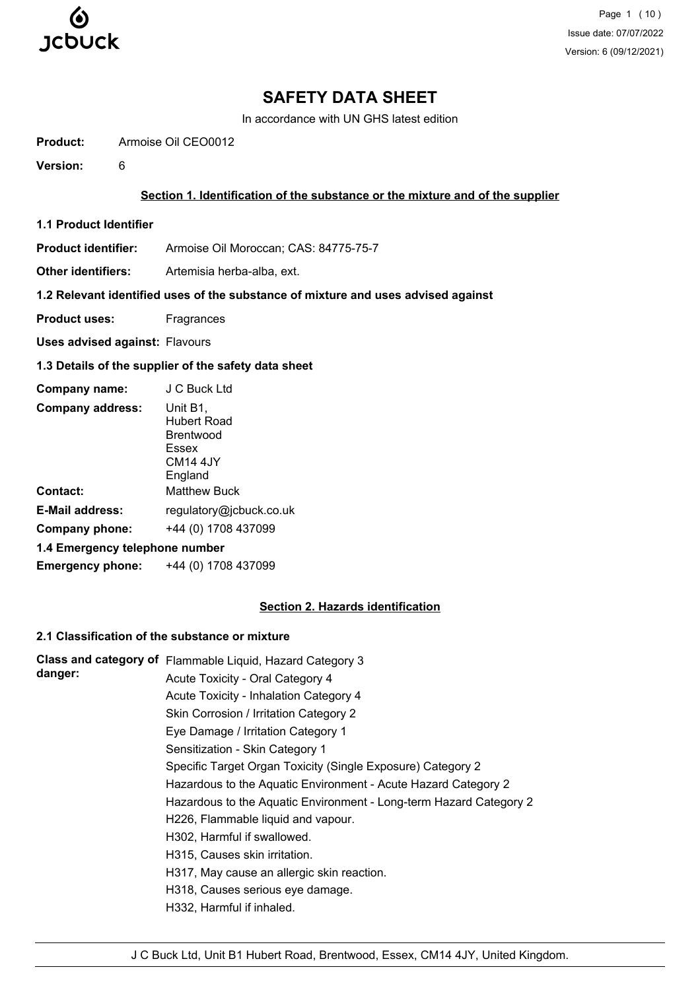

Page 1 (10) Issue date: 07/07/2022 Version: 6 (09/12/2021)

## **SAFETY DATA SHEET**

In accordance with UN GHS latest edition

**Product:** Armoise Oil CEO0012

**Version:** 6

#### **Section 1. Identification of the substance or the mixture and of the supplier**

**1.1 Product Identifier**

**Product identifier:** Armoise Oil Moroccan; CAS: 84775-75-7

**Other identifiers:** Artemisia herba-alba, ext.

## **1.2 Relevant identified uses of the substance of mixture and uses advised against**

**Product uses:** Fragrances

**Uses advised against:** Flavours

#### **1.3 Details of the supplier of the safety data sheet**

| Company name:                  | J C Buck Ltd                                                                 |  |  |
|--------------------------------|------------------------------------------------------------------------------|--|--|
| <b>Company address:</b>        | Unit B1,<br><b>Hubert Road</b><br>Brentwood<br>Essex<br>CM14 4.JY<br>England |  |  |
| Contact:                       | <b>Matthew Buck</b>                                                          |  |  |
| <b>E-Mail address:</b>         | regulatory@jcbuck.co.uk                                                      |  |  |
| Company phone:                 | +44 (0) 1708 437099                                                          |  |  |
| 1.4 Emergency telephone number |                                                                              |  |  |
| <b>Emergency phone:</b>        | +44 (0) 1708 437099                                                          |  |  |

#### **Section 2. Hazards identification**

#### **2.1 Classification of the substance or mixture**

|         | Class and category of Flammable Liquid, Hazard Category 3          |
|---------|--------------------------------------------------------------------|
| danger: | Acute Toxicity - Oral Category 4                                   |
|         | Acute Toxicity - Inhalation Category 4                             |
|         | Skin Corrosion / Irritation Category 2                             |
|         | Eye Damage / Irritation Category 1                                 |
|         | Sensitization - Skin Category 1                                    |
|         | Specific Target Organ Toxicity (Single Exposure) Category 2        |
|         | Hazardous to the Aquatic Environment - Acute Hazard Category 2     |
|         | Hazardous to the Aquatic Environment - Long-term Hazard Category 2 |
|         | H226, Flammable liquid and vapour.                                 |
|         | H302, Harmful if swallowed.                                        |
|         | H315, Causes skin irritation.                                      |
|         | H317, May cause an allergic skin reaction.                         |
|         | H318, Causes serious eye damage.                                   |
|         | H332, Harmful if inhaled.                                          |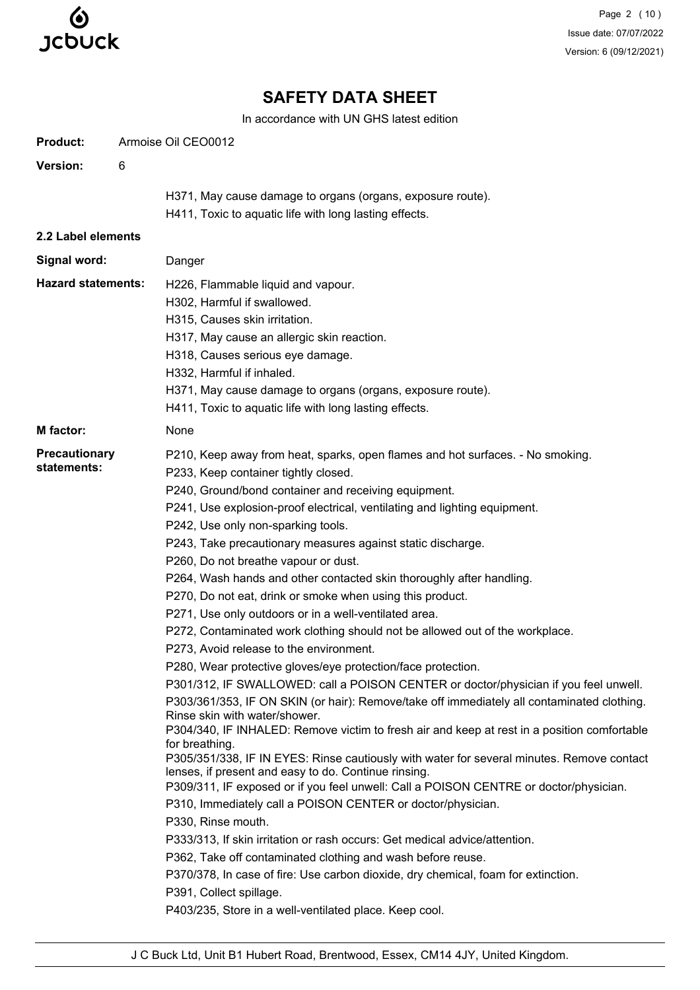

Page 2 (10) Issue date: 07/07/2022 Version: 6 (09/12/2021)

# **SAFETY DATA SHEET**

In accordance with UN GHS latest edition

| <b>Product:</b>                                                                                        | Armoise Oil CEO0012 |                                                                                                                                                                                                                                                                                                                                                                                                                                                                                                                                                                                                                                                                                                                                                                                                                                                                                                                                                                                                                                                                                                                                                                                                                                                                                                                                                                                                                                                                                                                                                                                                                                                                                                                                  |  |  |
|--------------------------------------------------------------------------------------------------------|---------------------|----------------------------------------------------------------------------------------------------------------------------------------------------------------------------------------------------------------------------------------------------------------------------------------------------------------------------------------------------------------------------------------------------------------------------------------------------------------------------------------------------------------------------------------------------------------------------------------------------------------------------------------------------------------------------------------------------------------------------------------------------------------------------------------------------------------------------------------------------------------------------------------------------------------------------------------------------------------------------------------------------------------------------------------------------------------------------------------------------------------------------------------------------------------------------------------------------------------------------------------------------------------------------------------------------------------------------------------------------------------------------------------------------------------------------------------------------------------------------------------------------------------------------------------------------------------------------------------------------------------------------------------------------------------------------------------------------------------------------------|--|--|
| Version:                                                                                               | 6                   |                                                                                                                                                                                                                                                                                                                                                                                                                                                                                                                                                                                                                                                                                                                                                                                                                                                                                                                                                                                                                                                                                                                                                                                                                                                                                                                                                                                                                                                                                                                                                                                                                                                                                                                                  |  |  |
|                                                                                                        |                     | H371, May cause damage to organs (organs, exposure route).<br>H411, Toxic to aquatic life with long lasting effects.                                                                                                                                                                                                                                                                                                                                                                                                                                                                                                                                                                                                                                                                                                                                                                                                                                                                                                                                                                                                                                                                                                                                                                                                                                                                                                                                                                                                                                                                                                                                                                                                             |  |  |
| 2.2 Label elements                                                                                     |                     |                                                                                                                                                                                                                                                                                                                                                                                                                                                                                                                                                                                                                                                                                                                                                                                                                                                                                                                                                                                                                                                                                                                                                                                                                                                                                                                                                                                                                                                                                                                                                                                                                                                                                                                                  |  |  |
| Signal word:                                                                                           |                     | Danger                                                                                                                                                                                                                                                                                                                                                                                                                                                                                                                                                                                                                                                                                                                                                                                                                                                                                                                                                                                                                                                                                                                                                                                                                                                                                                                                                                                                                                                                                                                                                                                                                                                                                                                           |  |  |
| <b>Hazard statements:</b>                                                                              |                     | H226, Flammable liquid and vapour.<br>H302, Harmful if swallowed.<br>H315, Causes skin irritation.<br>H317, May cause an allergic skin reaction.<br>H318, Causes serious eye damage.<br>H332, Harmful if inhaled.<br>H371, May cause damage to organs (organs, exposure route).<br>H411, Toxic to aquatic life with long lasting effects.                                                                                                                                                                                                                                                                                                                                                                                                                                                                                                                                                                                                                                                                                                                                                                                                                                                                                                                                                                                                                                                                                                                                                                                                                                                                                                                                                                                        |  |  |
| M factor:                                                                                              |                     | None                                                                                                                                                                                                                                                                                                                                                                                                                                                                                                                                                                                                                                                                                                                                                                                                                                                                                                                                                                                                                                                                                                                                                                                                                                                                                                                                                                                                                                                                                                                                                                                                                                                                                                                             |  |  |
| <b>Precautionary</b><br>statements:<br>for breathing.<br>P330, Rinse mouth.<br>P391, Collect spillage. |                     | P210, Keep away from heat, sparks, open flames and hot surfaces. - No smoking.<br>P233, Keep container tightly closed.<br>P240, Ground/bond container and receiving equipment.<br>P241, Use explosion-proof electrical, ventilating and lighting equipment.<br>P242, Use only non-sparking tools.<br>P243, Take precautionary measures against static discharge.<br>P260, Do not breathe vapour or dust.<br>P264, Wash hands and other contacted skin thoroughly after handling.<br>P270, Do not eat, drink or smoke when using this product.<br>P271, Use only outdoors or in a well-ventilated area.<br>P272, Contaminated work clothing should not be allowed out of the workplace.<br>P273, Avoid release to the environment.<br>P280, Wear protective gloves/eye protection/face protection.<br>P301/312, IF SWALLOWED: call a POISON CENTER or doctor/physician if you feel unwell.<br>P303/361/353, IF ON SKIN (or hair): Remove/take off immediately all contaminated clothing.<br>Rinse skin with water/shower.<br>P304/340, IF INHALED: Remove victim to fresh air and keep at rest in a position comfortable<br>P305/351/338, IF IN EYES: Rinse cautiously with water for several minutes. Remove contact<br>lenses, if present and easy to do. Continue rinsing.<br>P309/311, IF exposed or if you feel unwell: Call a POISON CENTRE or doctor/physician.<br>P310, Immediately call a POISON CENTER or doctor/physician.<br>P333/313, If skin irritation or rash occurs: Get medical advice/attention.<br>P362, Take off contaminated clothing and wash before reuse.<br>P370/378, In case of fire: Use carbon dioxide, dry chemical, foam for extinction.<br>P403/235, Store in a well-ventilated place. Keep cool. |  |  |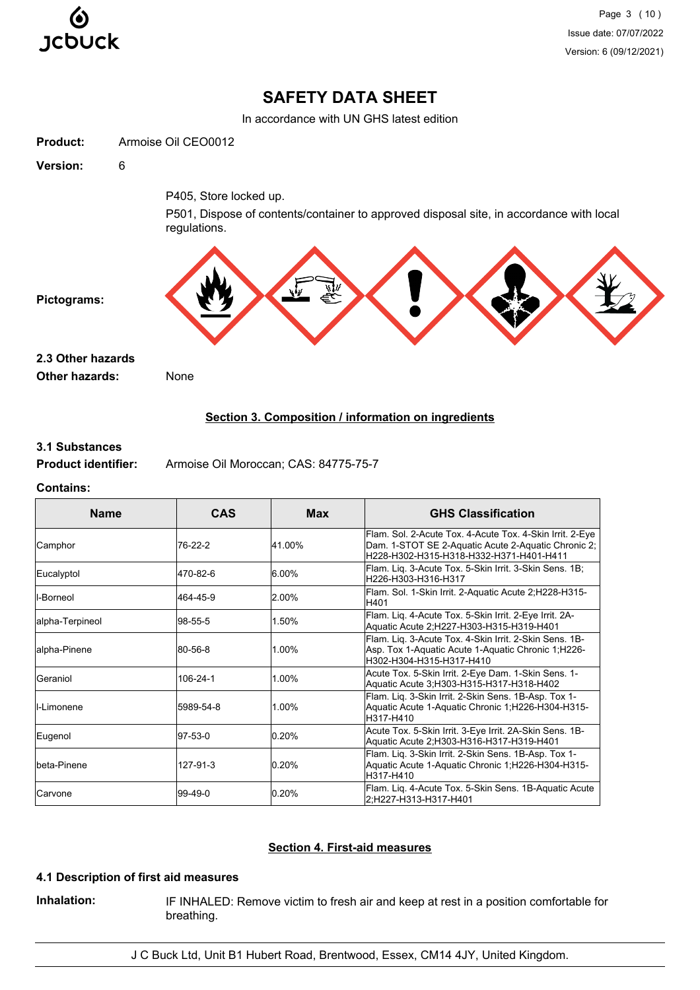

Page 3 (10) Issue date: 07/07/2022 Version: 6 (09/12/2021)

## **SAFETY DATA SHEET**

In accordance with UN GHS latest edition

| <b>Product:</b>       | Armoise Oil CEO0012                                                                                     |
|-----------------------|---------------------------------------------------------------------------------------------------------|
| Version:              | $\,6$                                                                                                   |
|                       | P405, Store locked up.                                                                                  |
|                       | P501, Dispose of contents/container to approved disposal site, in accordance with local<br>regulations. |
| Pictograms:           |                                                                                                         |
| 2.3 Other hazards     |                                                                                                         |
| <b>Other hazards:</b> | None                                                                                                    |
|                       | Section 3. Composition / information on ingredients                                                     |

#### **3.1 Substances**

**Product identifier:** Armoise Oil Moroccan; CAS: 84775-75-7

#### **Contains:**

| <b>Name</b>     | <b>CAS</b> | <b>Max</b> | <b>GHS Classification</b>                                                                                                                                  |
|-----------------|------------|------------|------------------------------------------------------------------------------------------------------------------------------------------------------------|
| Camphor         | 76-22-2    | 41.00%     | Flam. Sol. 2-Acute Tox. 4-Acute Tox. 4-Skin Irrit. 2-Eye<br>Dam. 1-STOT SE 2-Aquatic Acute 2-Aquatic Chronic 2;<br>H228-H302-H315-H318-H332-H371-H401-H411 |
| Eucalyptol      | 470-82-6   | 6.00%      | Flam. Liq. 3-Acute Tox. 5-Skin Irrit. 3-Skin Sens. 1B;<br>H226-H303-H316-H317                                                                              |
| l-Borneol       | 464-45-9   | 2.00%      | Flam. Sol. 1-Skin Irrit. 2-Aquatic Acute 2;H228-H315-<br>H401                                                                                              |
| alpha-Terpineol | 98-55-5    | 1.50%      | Flam. Lig. 4-Acute Tox. 5-Skin Irrit. 2-Eye Irrit. 2A-<br>Aquatic Acute 2;H227-H303-H315-H319-H401                                                         |
| alpha-Pinene    | 80-56-8    | 1.00%      | Flam. Lig. 3-Acute Tox. 4-Skin Irrit. 2-Skin Sens. 1B-<br>Asp. Tox 1-Aquatic Acute 1-Aquatic Chronic 1, H226-<br>H302-H304-H315-H317-H410                  |
| Geraniol        | 106-24-1   | 1.00%      | Acute Tox. 5-Skin Irrit. 2-Eye Dam. 1-Skin Sens. 1-<br>Aquatic Acute 3;H303-H315-H317-H318-H402                                                            |
| II-Limonene     | 5989-54-8  | 1.00%      | Flam. Lig. 3-Skin Irrit. 2-Skin Sens. 1B-Asp. Tox 1-<br>Aquatic Acute 1-Aquatic Chronic 1;H226-H304-H315-<br>H317-H410                                     |
| Eugenol         | 97-53-0    | 0.20%      | Acute Tox. 5-Skin Irrit. 3-Eye Irrit. 2A-Skin Sens. 1B-<br>Aquatic Acute 2;H303-H316-H317-H319-H401                                                        |
| lbeta-Pinene    | 127-91-3   | 0.20%      | Flam. Lig. 3-Skin Irrit. 2-Skin Sens. 1B-Asp. Tox 1-<br>Aquatic Acute 1-Aquatic Chronic 1;H226-H304-H315-<br>H317-H410                                     |
| lCarvone        | 199-49-0   | 0.20%      | Flam. Lig. 4-Acute Tox. 5-Skin Sens. 1B-Aquatic Acute<br>l2:H227-H313-H317-H401                                                                            |

## **Section 4. First-aid measures**

## **4.1 Description of first aid measures**

**Inhalation:** IF INHALED: Remove victim to fresh air and keep at rest in a position comfortable for breathing.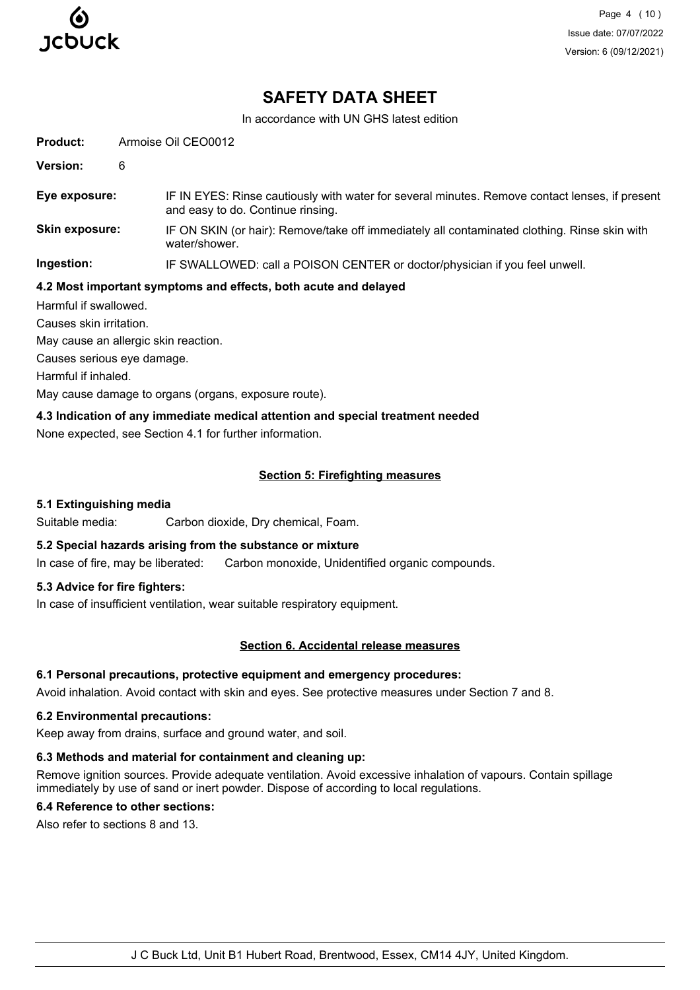

Page 4 (10) Issue date: 07/07/2022 Version: 6 (09/12/2021)

## **SAFETY DATA SHEET**

In accordance with UN GHS latest edition

**Product:** Armoise Oil CEO0012 **Version:** 6 **Eye exposure:** IF IN EYES: Rinse cautiously with water for several minutes. Remove contact lenses, if present and easy to do. Continue rinsing. **Skin exposure:** IF ON SKIN (or hair): Remove/take off immediately all contaminated clothing. Rinse skin with water/shower. **Ingestion:** IF SWALLOWED: call a POISON CENTER or doctor/physician if you feel unwell. **4.2 Most important symptoms and effects, both acute and delayed** Harmful if swallowed. Causes skin irritation. May cause an allergic skin reaction. Causes serious eye damage.

Harmful if inhaled.

May cause damage to organs (organs, exposure route).

#### **4.3 Indication of any immediate medical attention and special treatment needed**

None expected, see Section 4.1 for further information.

#### **Section 5: Firefighting measures**

#### **5.1 Extinguishing media**

Suitable media: Carbon dioxide, Dry chemical, Foam.

## **5.2 Special hazards arising from the substance or mixture**

In case of fire, may be liberated: Carbon monoxide, Unidentified organic compounds.

#### **5.3 Advice for fire fighters:**

In case of insufficient ventilation, wear suitable respiratory equipment.

#### **Section 6. Accidental release measures**

### **6.1 Personal precautions, protective equipment and emergency procedures:**

Avoid inhalation. Avoid contact with skin and eyes. See protective measures under Section 7 and 8.

#### **6.2 Environmental precautions:**

Keep away from drains, surface and ground water, and soil.

#### **6.3 Methods and material for containment and cleaning up:**

Remove ignition sources. Provide adequate ventilation. Avoid excessive inhalation of vapours. Contain spillage immediately by use of sand or inert powder. Dispose of according to local regulations.

#### **6.4 Reference to other sections:**

Also refer to sections 8 and 13.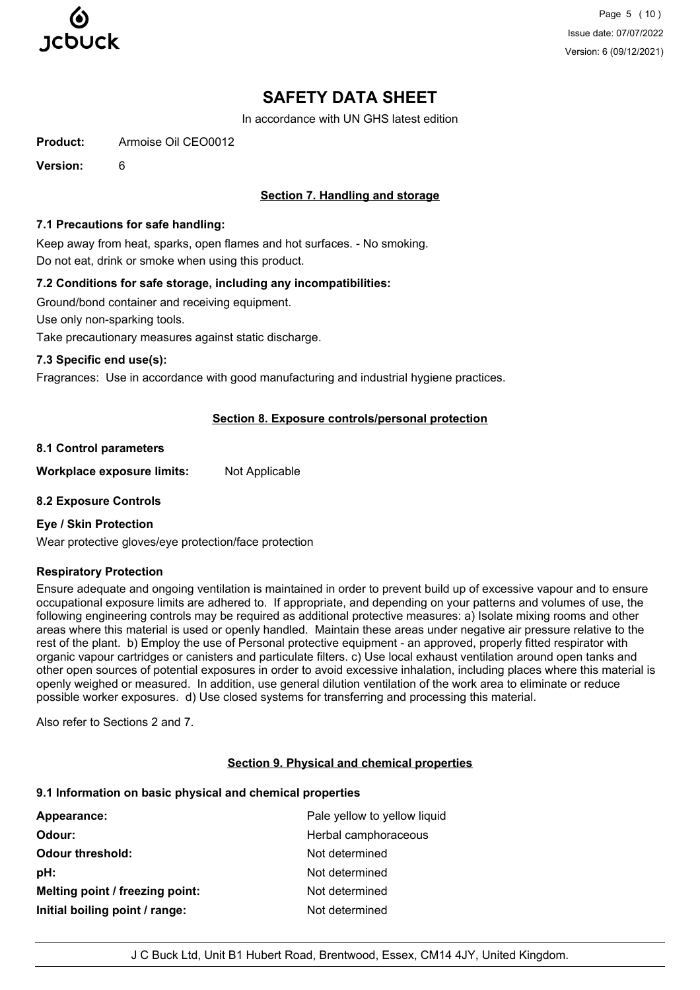

Page 5 (10) Issue date: 07/07/2022 Version: 6 (09/12/2021)

# **SAFETY DATA SHEET**

In accordance with UN GHS latest edition

**Product:** Armoise Oil CEO0012

**Version:** 6

## **Section 7. Handling and storage**

#### **7.1 Precautions for safe handling:**

Keep away from heat, sparks, open flames and hot surfaces. - No smoking. Do not eat, drink or smoke when using this product.

## **7.2 Conditions for safe storage, including any incompatibilities:**

Ground/bond container and receiving equipment.

Use only non-sparking tools.

Take precautionary measures against static discharge.

#### **7.3 Specific end use(s):**

Fragrances: Use in accordance with good manufacturing and industrial hygiene practices.

#### **Section 8. Exposure controls/personal protection**

#### **8.1 Control parameters**

**Workplace exposure limits:** Not Applicable

#### **8.2 Exposure Controls**

#### **Eye / Skin Protection**

Wear protective gloves/eye protection/face protection

## **Respiratory Protection**

Ensure adequate and ongoing ventilation is maintained in order to prevent build up of excessive vapour and to ensure occupational exposure limits are adhered to. If appropriate, and depending on your patterns and volumes of use, the following engineering controls may be required as additional protective measures: a) Isolate mixing rooms and other areas where this material is used or openly handled. Maintain these areas under negative air pressure relative to the rest of the plant. b) Employ the use of Personal protective equipment - an approved, properly fitted respirator with organic vapour cartridges or canisters and particulate filters. c) Use local exhaust ventilation around open tanks and other open sources of potential exposures in order to avoid excessive inhalation, including places where this material is openly weighed or measured. In addition, use general dilution ventilation of the work area to eliminate or reduce possible worker exposures. d) Use closed systems for transferring and processing this material.

Also refer to Sections 2 and 7.

#### **Section 9. Physical and chemical properties**

#### **9.1 Information on basic physical and chemical properties**

| Appearance:                     | Pale yellow to yellow liquid |
|---------------------------------|------------------------------|
| Odour:                          | Herbal camphoraceous         |
| <b>Odour threshold:</b>         | Not determined               |
| pH:                             | Not determined               |
| Melting point / freezing point: | Not determined               |
| Initial boiling point / range:  | Not determined               |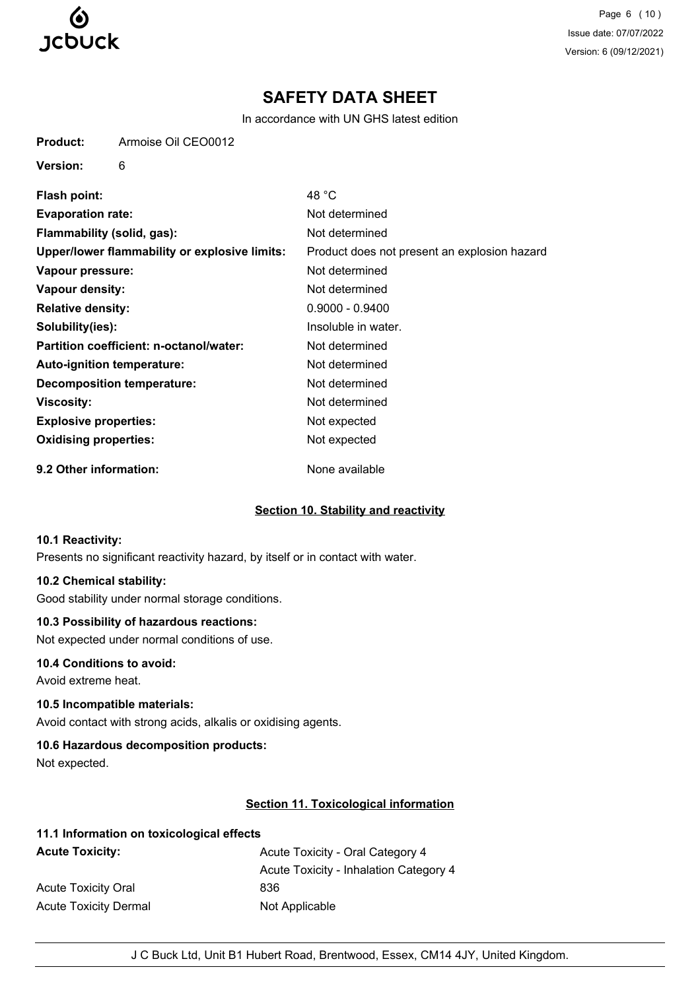

Page 6 (10) Issue date: 07/07/2022 Version: 6 (09/12/2021)

## **SAFETY DATA SHEET**

In accordance with UN GHS latest edition

| <b>Product:</b> | Armoise Oil CEO0012 |  |
|-----------------|---------------------|--|
|-----------------|---------------------|--|

**Version:** 6

| <b>Flash point:</b>                           | 48 °C                                        |
|-----------------------------------------------|----------------------------------------------|
| <b>Evaporation rate:</b>                      | Not determined                               |
| Flammability (solid, gas):                    | Not determined                               |
| Upper/lower flammability or explosive limits: | Product does not present an explosion hazard |
| Vapour pressure:                              | Not determined                               |
| Vapour density:                               | Not determined                               |
| <b>Relative density:</b>                      | $0.9000 - 0.9400$                            |
| Solubility(ies):                              | Insoluble in water.                          |
| Partition coefficient: n-octanol/water:       | Not determined                               |
| <b>Auto-ignition temperature:</b>             | Not determined                               |
| <b>Decomposition temperature:</b>             | Not determined                               |
| Viscosity:                                    | Not determined                               |
| <b>Explosive properties:</b>                  | Not expected                                 |
| <b>Oxidising properties:</b>                  | Not expected                                 |
| 9.2 Other information:                        | None available                               |

## **Section 10. Stability and reactivity**

#### **10.1 Reactivity:**

Presents no significant reactivity hazard, by itself or in contact with water.

#### **10.2 Chemical stability:**

Good stability under normal storage conditions.

## **10.3 Possibility of hazardous reactions:**

Not expected under normal conditions of use.

## **10.4 Conditions to avoid:**

Avoid extreme heat.

## **10.5 Incompatible materials:**

Avoid contact with strong acids, alkalis or oxidising agents.

## **10.6 Hazardous decomposition products:**

Not expected.

## **Section 11. Toxicological information**

| 11.1 Information on toxicological effects |  |
|-------------------------------------------|--|
| Acute Toxicity - Oral Category 4          |  |
| Acute Toxicity - Inhalation Category 4    |  |
| 836                                       |  |
| Not Applicable                            |  |
|                                           |  |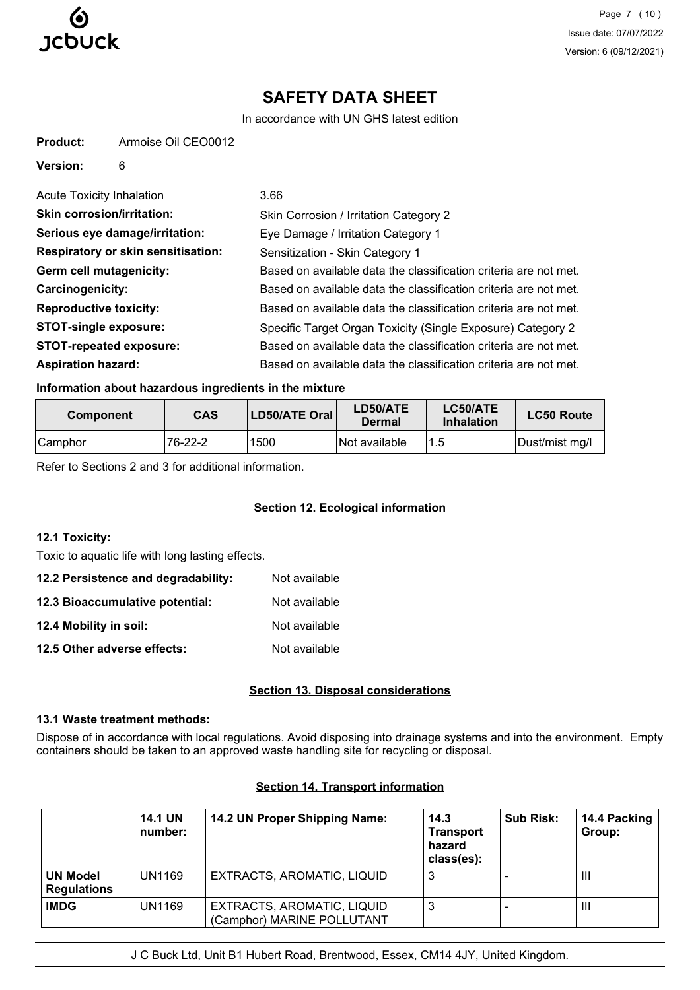

**Product:** Armoise Oil CEO0012

Page 7 (10) Issue date: 07/07/2022 Version: 6 (09/12/2021)

# **SAFETY DATA SHEET**

In accordance with UN GHS latest edition

| Version:<br>6                             |                                                                  |
|-------------------------------------------|------------------------------------------------------------------|
| Acute Toxicity Inhalation                 | 3.66                                                             |
| <b>Skin corrosion/irritation:</b>         | Skin Corrosion / Irritation Category 2                           |
| Serious eye damage/irritation:            | Eye Damage / Irritation Category 1                               |
| <b>Respiratory or skin sensitisation:</b> | Sensitization - Skin Category 1                                  |
| Germ cell mutagenicity:                   | Based on available data the classification criteria are not met. |
| <b>Carcinogenicity:</b>                   | Based on available data the classification criteria are not met. |
| <b>Reproductive toxicity:</b>             | Based on available data the classification criteria are not met. |
| <b>STOT-single exposure:</b>              | Specific Target Organ Toxicity (Single Exposure) Category 2      |
| <b>STOT-repeated exposure:</b>            | Based on available data the classification criteria are not met. |
| <b>Aspiration hazard:</b>                 | Based on available data the classification criteria are not met. |

### **Information about hazardous ingredients in the mixture**

| <b>Component</b> | <b>CAS</b> | LD50/ATE Oral | LD50/ATE<br>Dermal          | LC50/ATE<br>Inhalation | <b>LC50 Route</b> |
|------------------|------------|---------------|-----------------------------|------------------------|-------------------|
| Camphor          | 76-22-2    | 1500          | <i><b>Not available</b></i> |                        | Dust/mist mg/l    |

Refer to Sections 2 and 3 for additional information.

## **Section 12. Ecological information**

## **12.1 Toxicity:**

Toxic to aquatic life with long lasting effects.

| 12.2 Persistence and degradability: | Not available |
|-------------------------------------|---------------|
| 12.3 Bioaccumulative potential:     | Not available |
| 12.4 Mobility in soil:              | Not available |
| 12.5 Other adverse effects:         | Not available |

#### **Section 13. Disposal considerations**

### **13.1 Waste treatment methods:**

Dispose of in accordance with local regulations. Avoid disposing into drainage systems and into the environment. Empty containers should be taken to an approved waste handling site for recycling or disposal.

|                                       | <b>14.1 UN</b><br>number: | 14.2 UN Proper Shipping Name:                            | 14.3<br><b>Transport</b><br>hazard<br>class(es): | <b>Sub Risk:</b> | 14.4 Packing<br>Group: |
|---------------------------------------|---------------------------|----------------------------------------------------------|--------------------------------------------------|------------------|------------------------|
| <b>UN Model</b><br><b>Regulations</b> | <b>UN1169</b>             | EXTRACTS, AROMATIC, LIQUID                               | 3                                                |                  | $\mathbf{III}$         |
| <b>IMDG</b>                           | UN1169                    | EXTRACTS, AROMATIC, LIQUID<br>(Camphor) MARINE POLLUTANT | 3                                                |                  | $\mathbf{III}$         |

## **Section 14. Transport information**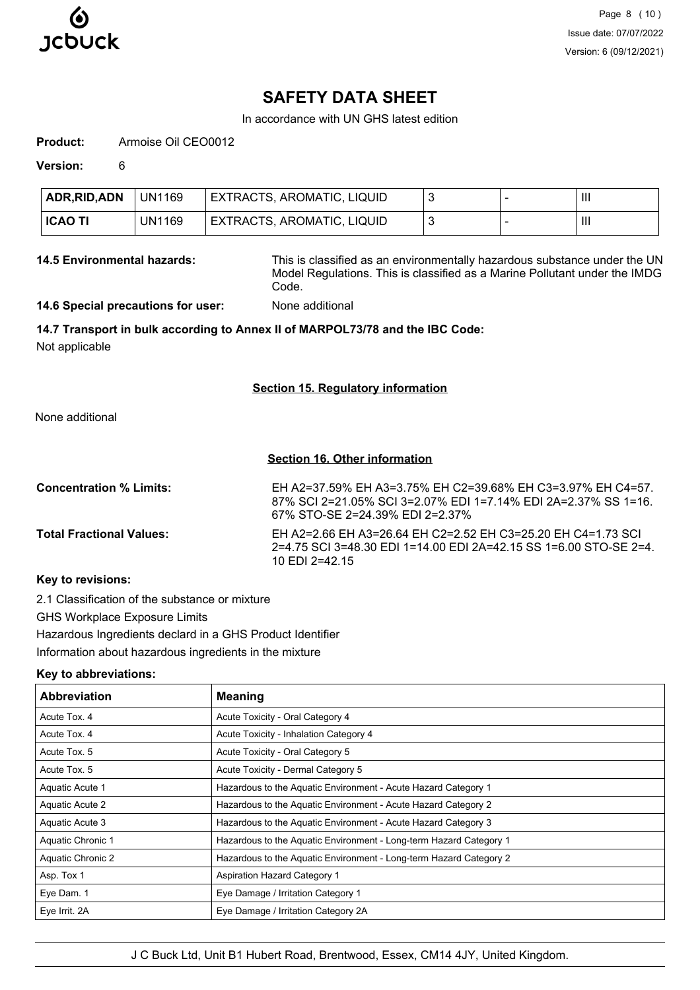

## **SAFETY DATA SHEET**

In accordance with UN GHS latest edition

**Product:** Armoise Oil CEO0012

**Version:** 6

| ADR, RID, ADN  | <b>UN1169</b> | EXTRACTS, AROMATIC, LIQUID |  | Ш |
|----------------|---------------|----------------------------|--|---|
| <b>ICAO TI</b> | UN1169        | EXTRACTS, AROMATIC, LIQUID |  |   |

**14.5 Environmental hazards:** This is classified as an environmentally hazardous substance under the UN Model Regulations. This is classified as a Marine Pollutant under the IMDG Code.

**14.6 Special precautions for user:** None additional

## **14.7 Transport in bulk according to Annex II of MARPOL73/78 and the IBC Code:**

Not applicable

#### **Section 15. Regulatory information**

None additional

#### **Section 16. Other information**

| <b>Concentration % Limits:</b>  | EH A2=37.59% EH A3=3.75% EH C2=39.68% EH C3=3.97% EH C4=57.<br>87% SCI 2=21.05% SCI 3=2.07% EDI 1=7.14% EDI 2A=2.37% SS 1=16.<br>67% STO-SE 2=24 39% EDI 2=2 37% |
|---------------------------------|------------------------------------------------------------------------------------------------------------------------------------------------------------------|
| <b>Total Fractional Values:</b> | EH A2=2.66 EH A3=26.64 EH C2=2.52 EH C3=25.20 EH C4=1.73 SCI<br>2=4.75 SCI 3=48.30 EDI 1=14.00 EDI 2A=42.15 SS 1=6.00 STO-SE 2=4.<br>10 EDI 2=42.15              |
|                                 |                                                                                                                                                                  |

#### **Key to revisions:**

2.1 Classification of the substance or mixture

GHS Workplace Exposure Limits

Hazardous Ingredients declard in a GHS Product Identifier

Information about hazardous ingredients in the mixture

## **Key to abbreviations:**

| <b>Abbreviation</b> | <b>Meaning</b>                                                     |
|---------------------|--------------------------------------------------------------------|
| Acute Tox, 4        | Acute Toxicity - Oral Category 4                                   |
| Acute Tox, 4        | Acute Toxicity - Inhalation Category 4                             |
| Acute Tox. 5        | Acute Toxicity - Oral Category 5                                   |
| Acute Tox. 5        | Acute Toxicity - Dermal Category 5                                 |
| Aquatic Acute 1     | Hazardous to the Aquatic Environment - Acute Hazard Category 1     |
| Aquatic Acute 2     | Hazardous to the Aquatic Environment - Acute Hazard Category 2     |
| Aquatic Acute 3     | Hazardous to the Aguatic Environment - Acute Hazard Category 3     |
| Aquatic Chronic 1   | Hazardous to the Aquatic Environment - Long-term Hazard Category 1 |
| Aquatic Chronic 2   | Hazardous to the Aquatic Environment - Long-term Hazard Category 2 |
| Asp. Tox 1          | <b>Aspiration Hazard Category 1</b>                                |
| Eye Dam. 1          | Eye Damage / Irritation Category 1                                 |
| Eye Irrit. 2A       | Eye Damage / Irritation Category 2A                                |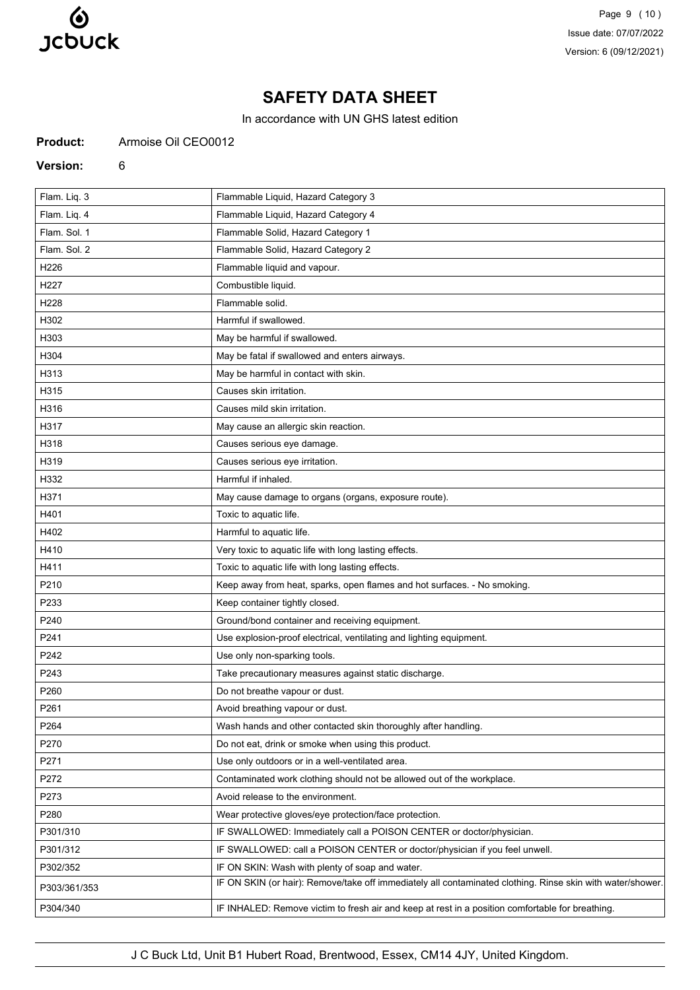

Page 9 (10) Issue date: 07/07/2022 Version: 6 (09/12/2021)

# **SAFETY DATA SHEET**

In accordance with UN GHS latest edition

**Product:** Armoise Oil CEO0012

#### **Version:** 6

| Flam. Liq. 3<br>Flammable Liquid, Hazard Category 3                                                                        |  |
|----------------------------------------------------------------------------------------------------------------------------|--|
|                                                                                                                            |  |
| Flam. Liq. 4<br>Flammable Liquid, Hazard Category 4                                                                        |  |
| Flam. Sol. 1<br>Flammable Solid, Hazard Category 1                                                                         |  |
| Flam, Sol. 2<br>Flammable Solid, Hazard Category 2                                                                         |  |
| H226<br>Flammable liquid and vapour.                                                                                       |  |
| Combustible liquid.<br>H227                                                                                                |  |
| H228<br>Flammable solid.                                                                                                   |  |
| H302<br>Harmful if swallowed.                                                                                              |  |
| H303<br>May be harmful if swallowed.                                                                                       |  |
| H304<br>May be fatal if swallowed and enters airways.                                                                      |  |
| H313<br>May be harmful in contact with skin.                                                                               |  |
| H315<br>Causes skin irritation.                                                                                            |  |
| H316<br>Causes mild skin irritation.                                                                                       |  |
| H317<br>May cause an allergic skin reaction.                                                                               |  |
| H318<br>Causes serious eye damage.                                                                                         |  |
| Causes serious eye irritation.<br>H319                                                                                     |  |
| H332<br>Harmful if inhaled.                                                                                                |  |
| H371<br>May cause damage to organs (organs, exposure route).                                                               |  |
| Toxic to aquatic life.<br>H401                                                                                             |  |
| Harmful to aquatic life.<br>H402                                                                                           |  |
| H410<br>Very toxic to aquatic life with long lasting effects.                                                              |  |
| Toxic to aquatic life with long lasting effects.<br>H411                                                                   |  |
| Keep away from heat, sparks, open flames and hot surfaces. - No smoking.<br>P210                                           |  |
| Keep container tightly closed.<br>P233                                                                                     |  |
| P240<br>Ground/bond container and receiving equipment.                                                                     |  |
| P241<br>Use explosion-proof electrical, ventilating and lighting equipment.                                                |  |
| Use only non-sparking tools.<br>P242                                                                                       |  |
| Take precautionary measures against static discharge.<br>P243                                                              |  |
| P260<br>Do not breathe vapour or dust.                                                                                     |  |
| P261<br>Avoid breathing vapour or dust.                                                                                    |  |
| P264<br>Wash hands and other contacted skin thoroughly after handling.                                                     |  |
| P270<br>Do not eat, drink or smoke when using this product.                                                                |  |
| P271<br>Use only outdoors or in a well-ventilated area.                                                                    |  |
| P272<br>Contaminated work clothing should not be allowed out of the workplace.                                             |  |
| P273<br>Avoid release to the environment.                                                                                  |  |
| P280<br>Wear protective gloves/eye protection/face protection.                                                             |  |
| P301/310<br>IF SWALLOWED: Immediately call a POISON CENTER or doctor/physician.                                            |  |
| P301/312<br>IF SWALLOWED: call a POISON CENTER or doctor/physician if you feel unwell.                                     |  |
| P302/352<br>IF ON SKIN: Wash with plenty of soap and water.                                                                |  |
| IF ON SKIN (or hair): Remove/take off immediately all contaminated clothing. Rinse skin with water/shower.<br>P303/361/353 |  |
| P304/340<br>IF INHALED: Remove victim to fresh air and keep at rest in a position comfortable for breathing.               |  |